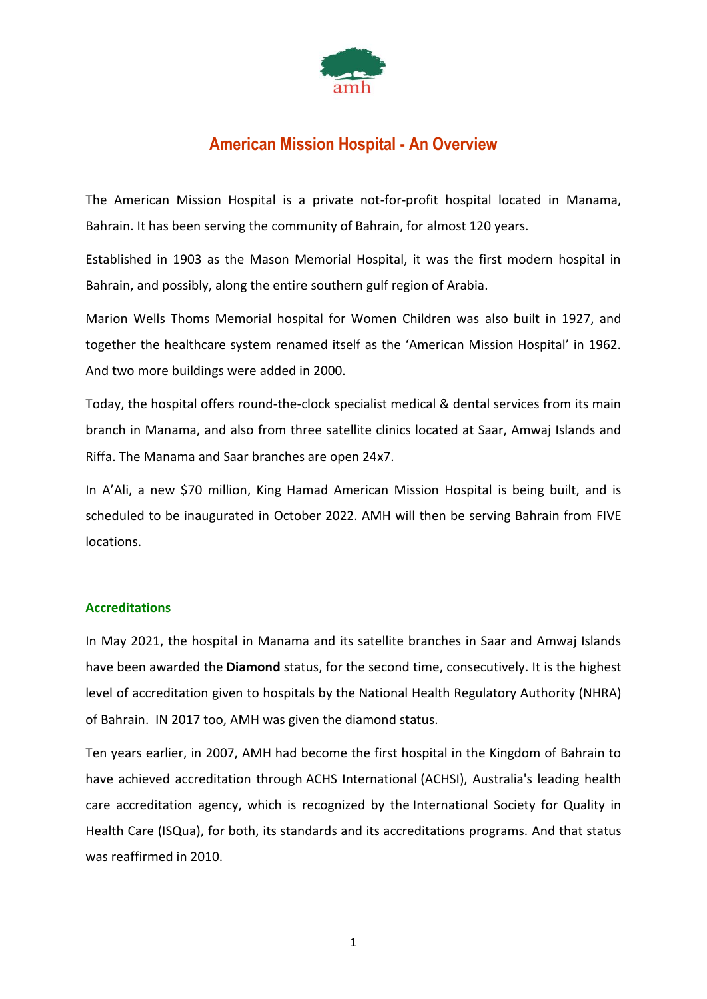

# **American Mission Hospital - An Overview**

The American Mission Hospital is a private not-for-profit hospital located in Manama, Bahrain. It has been serving the community of Bahrain, for almost 120 years.

Established in 1903 as the Mason Memorial Hospital, it was the first modern hospital in Bahrain, and possibly, along the entire southern gulf region of Arabia.

Marion Wells Thoms Memorial hospital for Women Children was also built in 1927, and together the healthcare system renamed itself as the 'American Mission Hospital' in 1962. And two more buildings were added in 2000.

Today, the hospital offers round-the-clock specialist medical & dental services from its main branch in Manama, and also from three satellite clinics located at Saar, Amwaj Islands and Riffa. The Manama and Saar branches are open 24x7.

In A'Ali, a new \$70 million, King Hamad American Mission Hospital is being built, and is scheduled to be inaugurated in October 2022. AMH will then be serving Bahrain from FIVE locations.

# **Accreditations**

In May 2021, the hospital in Manama and its satellite branches in Saar and Amwaj Islands have been awarded the **Diamond** status, for the second time, consecutively. It is the highest level of accreditation given to hospitals by the [National Health Regulatory Authority](https://en.wikipedia.org/wiki/National_Health_Regulatory_Authority) (NHRA) of Bahrain. IN 2017 too, AMH was given the diamond status.

Ten years earlier, in 2007, AMH had become the first hospital in the Kingdom of Bahrain to have achieved accreditation through [ACHS International](https://www.achs.org.au/) (ACHSI), Australia's leading health care accreditation agency, which is recognized by the [International Society for Quality in](https://isqua.org/)  [Health Care \(ISQua\),](https://isqua.org/) for both, its standards and its accreditations programs. And that status was reaffirmed in 2010.

1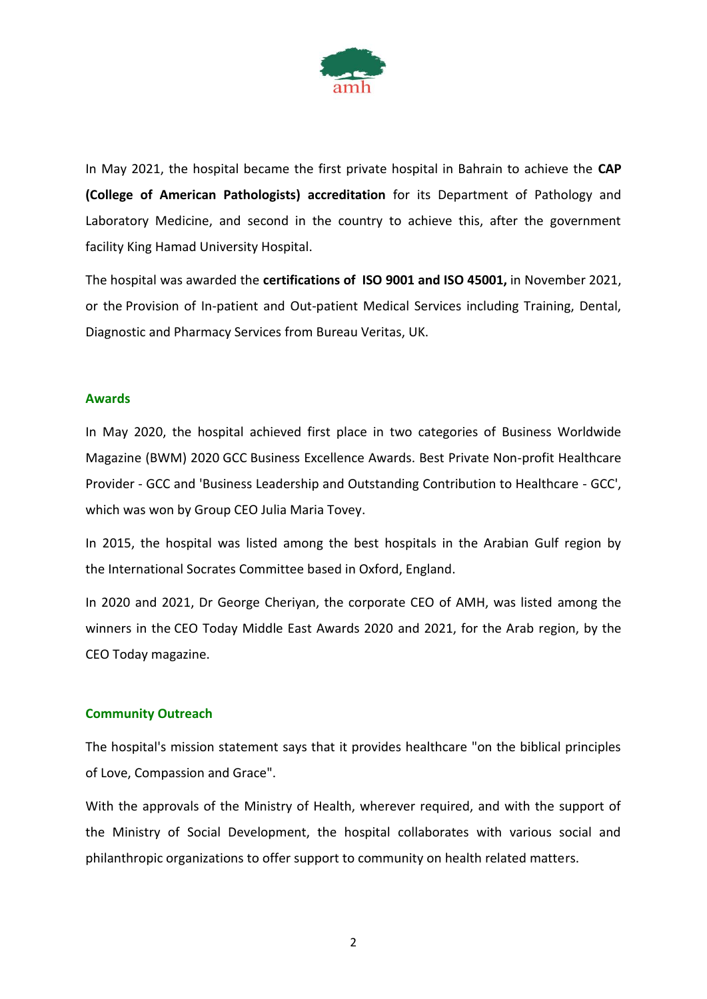

In May 2021, the hospital became the first private hospital in Bahrain to achieve the **CAP (College of American Pathologists) accreditation** for its Department of Pathology and Laboratory Medicine, and second in the country to achieve this, after the government facility King Hamad University Hospital.

The hospital was awarded the **certifications of [ISO 9001 and ISO](https://www.iso.org/standard/62085.html) 45001,** in November 2021, or the Provision of In-patient and Out-patient Medical Services including Training, Dental, Diagnostic and Pharmacy Services from [Bureau Veritas,](https://en.wikipedia.org/wiki/Bureau_Veritas) UK.

#### **Awards**

In May 2020, the hospital achieved [first place](https://www.prnewswire.com/news-releases/american-mission-hospital-wins-two-business-worldwide-magazine-2020-gcc-business-excellence-awards-301066308.html) in two categories of Business Worldwide Magazine (BWM) 2020 [GCC](https://en.wikipedia.org/wiki/Gulf_Cooperation_Council) Business Excellence Awards. Best Private Non-profit Healthcare Provider - GCC and 'Business Leadership and Outstanding Contribution to Healthcare - GCC', which was won by Group CEO Julia Maria Tovey.

In 2015, the hospital was listed among the best hospitals in the Arabian Gulf region by the [International Socrates Committee](https://awards.ebaoxford.co.uk/winners/video/30-about-eba/99-socrates-committee) based in Oxford, England.

In 2020 and 2021, Dr George Cheriyan, the corporate CEO of AMH, was listed among the winners in the CEO Today Middle East Awards 2020 and 2021, for the Arab region, by the CEO Today magazine.

# **Community Outreach**

The hospital's mission statement says that it provides healthcare "on the biblical principles of Love, Compassion and Grace".

With the approvals of the Ministry of Health, wherever required, and with the support of the Ministry of Social Development, the hospital collaborates with various social and philanthropic organizations to offer support to community on health related matters.

2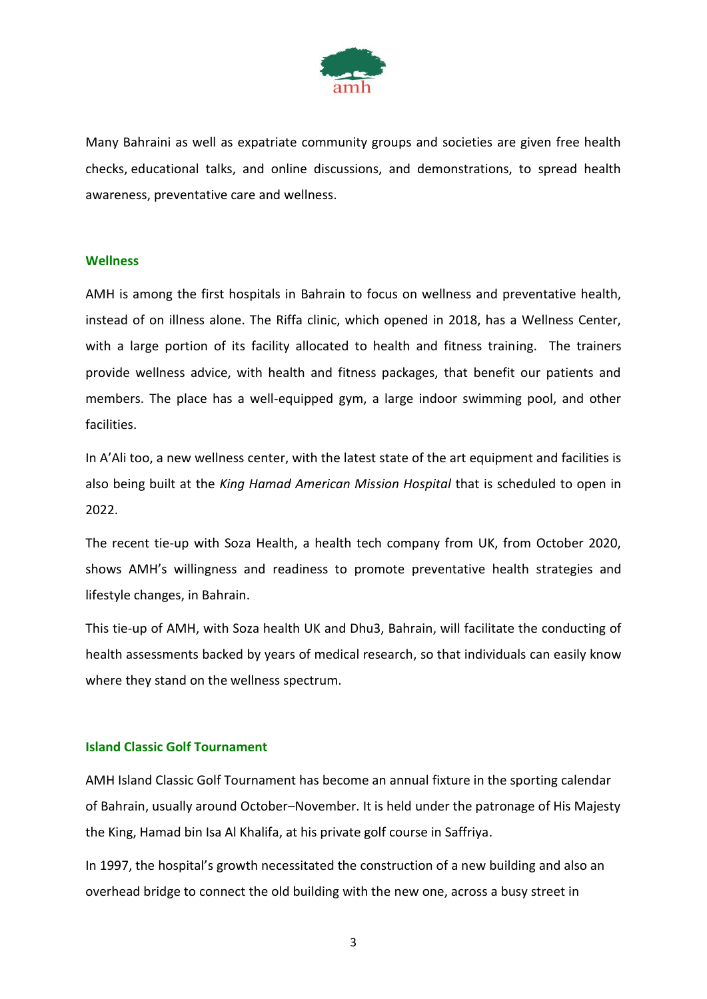

Many Bahraini as well as expatriate community groups and societies are given free health checks, educational talks, and online discussions, and demonstrations, to spread health awareness, preventative care and wellness.

#### **Wellness**

AMH is among the first hospitals in Bahrain to focus on wellness and preventative health, instead of on illness alone. The Riffa clinic, which opened in 2018, has a Wellness Center, with a large portion of its facility allocated to health and fitness training. The trainers provide wellness advice, with health and fitness packages, that benefit our patients and members. The place has a well-equipped gym, a large indoor swimming pool, and other facilities.

In A'Ali too, a new wellness center, with the latest state of the art equipment and facilities is also being built at the *King Hamad American Mission Hospital* that is scheduled to open in 2022.

The recent tie-up with Soza Health, a health tech company from UK, from October 2020, shows AMH's willingness and readiness to promote preventative health strategies and lifestyle changes, in Bahrain.

This tie-up of AMH, with Soza health UK and Dhu3, Bahrain, will facilitate the conducting of health assessments backed by years of medical research, so that individuals can easily know where they stand on the wellness spectrum.

# **Island Classic Golf Tournament**

AMH Island Classic Golf Tournament has become an annual fixture in the sporting calendar of Bahrain, usually around October–November. It is held under the patronage of His Majesty the King, Hamad bin Isa Al Khalifa, at his private golf course in Saffriya.

In 1997, the hospital's growth necessitated the construction of a new building and also an overhead bridge to connect the old building with the new one, across a busy street in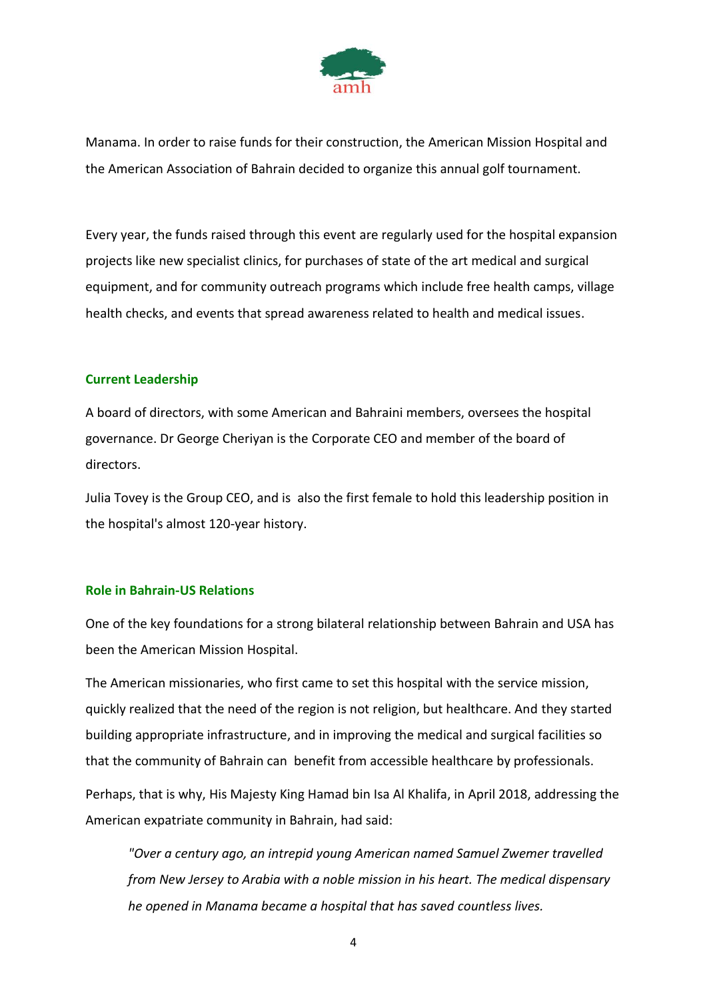

Manama. In order to raise funds for their construction, the American Mission Hospital and the American Association of Bahrain decided to organize this annual golf tournament.

Every year, the funds raised through this event are regularly used for the hospital expansion projects like new specialist clinics, for purchases of state of the art medical and surgical equipment, and for community outreach programs which include free health camps, village health checks, and events that spread awareness related to health and medical issues.

# **Current Leadership**

A board of directors, with some American and Bahraini members, oversees the hospital governance. Dr George Cheriyan is the Corporate CEO and member of the board of directors.

Julia Tovey is the Group CEO, and is also the first female to hold this leadership position in the hospital's almost 120-year history.

#### **Role in Bahrain-US Relations**

One of the key foundations for a strong bilateral relationship between Bahrain and USA has been the American Mission Hospital.

The American missionaries, who first came to set this hospital with the service mission, quickly realized that the need of the region is not religion, but healthcare. And they started building appropriate infrastructure, and in improving the medical and surgical facilities so that the community of Bahrain can benefit from accessible healthcare by professionals.

Perhaps, that is why, His Majesty King Hamad bin Isa Al Khalifa, in April 2018, addressing the American expatriate community in Bahrain, had said:

*"Over a century ago, an intrepid young American named Samuel Zwemer travelled from New Jersey to Arabia with a noble mission in his heart. The medical dispensary he opened in Manama became a hospital that has saved countless lives.*